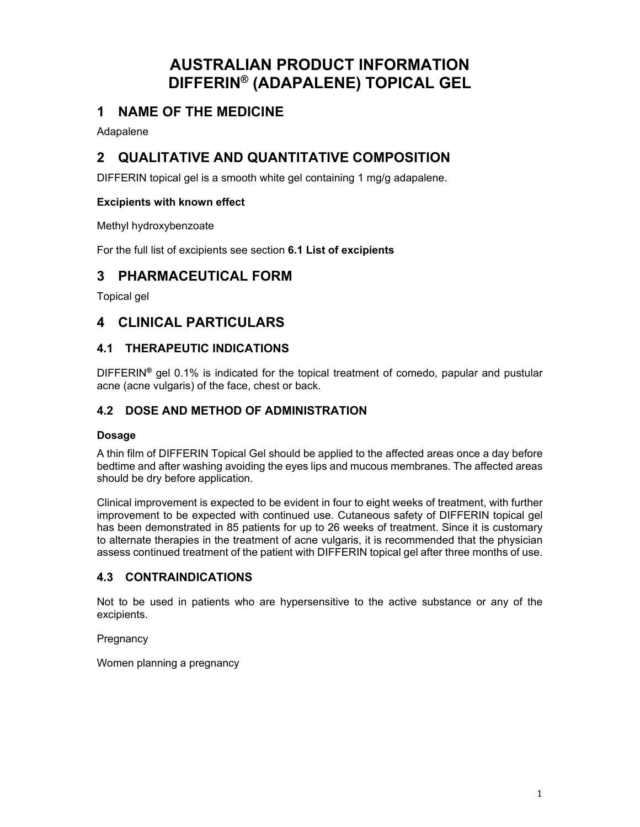# **AUSTRALIAN PRODUCT INFORMATION DIFFERIN® (ADAPALENE) TOPICAL GEL**

# **1 NAME OF THE MEDICINE**

Adapalene

# **2 QUALITATIVE AND QUANTITATIVE COMPOSITION**

DIFFERIN topical gel is a smooth white gel containing 1 mg/g adapalene.

### **Excipients with known effect**

Methyl hydroxybenzoate

For the full list of excipients see section **6.1 List of excipients**

## **3 PHARMACEUTICAL FORM**

Topical gel

## **4 CLINICAL PARTICULARS**

## **4.1 THERAPEUTIC INDICATIONS**

DIFFERIN**®** gel 0.1% is indicated for the topical treatment of comedo, papular and pustular acne (acne vulgaris) of the face, chest or back.

## **4.2 DOSE AND METHOD OF ADMINISTRATION**

#### **Dosage**

A thin film of DIFFERIN Topical Gel should be applied to the affected areas once a day before bedtime and after washing avoiding the eyes lips and mucous membranes. The affected areas should be dry before application.

Clinical improvement is expected to be evident in four to eight weeks of treatment, with further improvement to be expected with continued use. Cutaneous safety of DIFFERIN topical gel has been demonstrated in 85 patients for up to 26 weeks of treatment. Since it is customary to alternate therapies in the treatment of acne vulgaris, it is recommended that the physician assess continued treatment of the patient with DIFFERIN topical gel after three months of use.

## **4.3 CONTRAINDICATIONS**

Not to be used in patients who are hypersensitive to the active substance or any of the excipients.

**Pregnancy** 

Women planning a pregnancy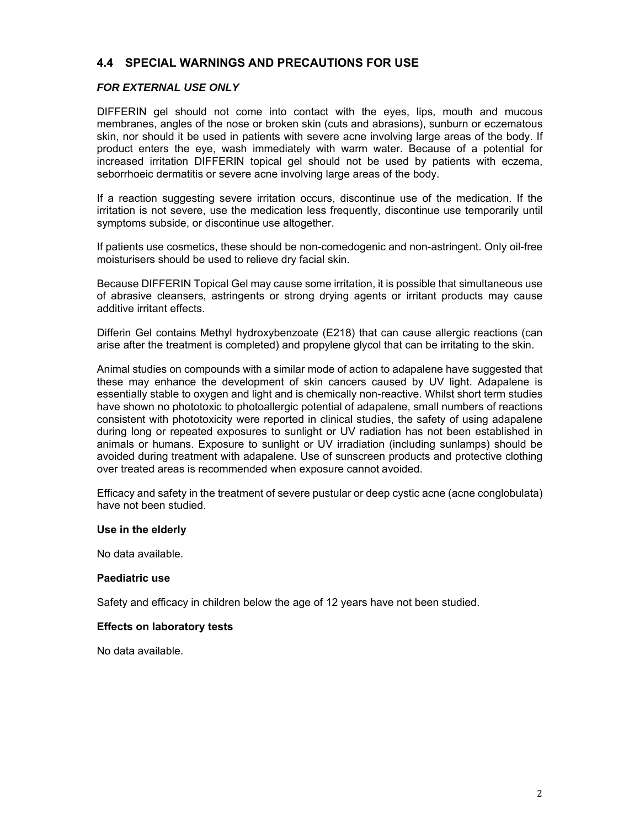## **4.4 SPECIAL WARNINGS AND PRECAUTIONS FOR USE**

#### *FOR EXTERNAL USE ONLY*

DIFFERIN gel should not come into contact with the eyes, lips, mouth and mucous membranes, angles of the nose or broken skin (cuts and abrasions), sunburn or eczematous skin, nor should it be used in patients with severe acne involving large areas of the body. If product enters the eye, wash immediately with warm water. Because of a potential for increased irritation DIFFERIN topical gel should not be used by patients with eczema, seborrhoeic dermatitis or severe acne involving large areas of the body.

If a reaction suggesting severe irritation occurs, discontinue use of the medication. If the irritation is not severe, use the medication less frequently, discontinue use temporarily until symptoms subside, or discontinue use altogether.

If patients use cosmetics, these should be non-comedogenic and non-astringent. Only oil-free moisturisers should be used to relieve dry facial skin.

Because DIFFERIN Topical Gel may cause some irritation, it is possible that simultaneous use of abrasive cleansers, astringents or strong drying agents or irritant products may cause additive irritant effects.

Differin Gel contains Methyl hydroxybenzoate (E218) that can cause allergic reactions (can arise after the treatment is completed) and propylene glycol that can be irritating to the skin.

Animal studies on compounds with a similar mode of action to adapalene have suggested that these may enhance the development of skin cancers caused by UV light. Adapalene is essentially stable to oxygen and light and is chemically non-reactive. Whilst short term studies have shown no phototoxic to photoallergic potential of adapalene, small numbers of reactions consistent with phototoxicity were reported in clinical studies, the safety of using adapalene during long or repeated exposures to sunlight or UV radiation has not been established in animals or humans. Exposure to sunlight or UV irradiation (including sunlamps) should be avoided during treatment with adapalene. Use of sunscreen products and protective clothing over treated areas is recommended when exposure cannot avoided.

Efficacy and safety in the treatment of severe pustular or deep cystic acne (acne conglobulata) have not been studied.

#### **Use in the elderly**

No data available.

#### **Paediatric use**

Safety and efficacy in children below the age of 12 years have not been studied.

#### **Effects on laboratory tests**

No data available.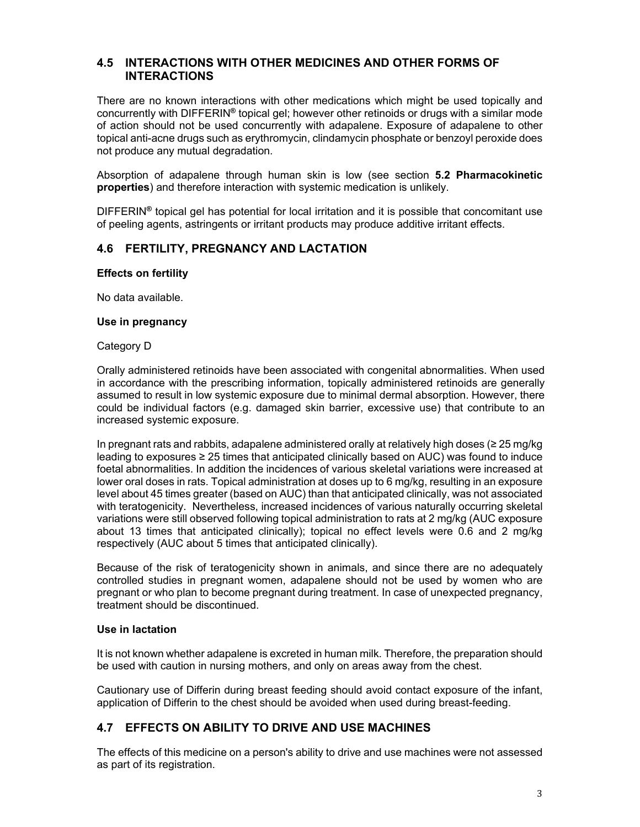## **4.5 INTERACTIONS WITH OTHER MEDICINES AND OTHER FORMS OF INTERACTIONS**

There are no known interactions with other medications which might be used topically and concurrently with DIFFERIN**®** topical gel; however other retinoids or drugs with a similar mode of action should not be used concurrently with adapalene. Exposure of adapalene to other topical anti-acne drugs such as erythromycin, clindamycin phosphate or benzoyl peroxide does not produce any mutual degradation.

Absorption of adapalene through human skin is low (see section **5.2 Pharmacokinetic properties**) and therefore interaction with systemic medication is unlikely.

DIFFERIN**®** topical gel has potential for local irritation and it is possible that concomitant use of peeling agents, astringents or irritant products may produce additive irritant effects.

#### **4.6 FERTILITY, PREGNANCY AND LACTATION**

#### **Effects on fertility**

No data available.

#### **Use in pregnancy**

#### Category D

Orally administered retinoids have been associated with congenital abnormalities. When used in accordance with the prescribing information, topically administered retinoids are generally assumed to result in low systemic exposure due to minimal dermal absorption. However, there could be individual factors (e.g. damaged skin barrier, excessive use) that contribute to an increased systemic exposure.

In pregnant rats and rabbits, adapalene administered orally at relatively high doses (≥ 25 mg/kg leading to exposures ≥ 25 times that anticipated clinically based on AUC) was found to induce foetal abnormalities. In addition the incidences of various skeletal variations were increased at lower oral doses in rats. Topical administration at doses up to 6 mg/kg, resulting in an exposure level about 45 times greater (based on AUC) than that anticipated clinically, was not associated with teratogenicity. Nevertheless, increased incidences of various naturally occurring skeletal variations were still observed following topical administration to rats at 2 mg/kg (AUC exposure about 13 times that anticipated clinically); topical no effect levels were 0.6 and 2 mg/kg respectively (AUC about 5 times that anticipated clinically).

Because of the risk of teratogenicity shown in animals, and since there are no adequately controlled studies in pregnant women, adapalene should not be used by women who are pregnant or who plan to become pregnant during treatment. In case of unexpected pregnancy, treatment should be discontinued.

#### **Use in lactation**

It is not known whether adapalene is excreted in human milk. Therefore, the preparation should be used with caution in nursing mothers, and only on areas away from the chest.

Cautionary use of Differin during breast feeding should avoid contact exposure of the infant, application of Differin to the chest should be avoided when used during breast-feeding.

## **4.7 EFFECTS ON ABILITY TO DRIVE AND USE MACHINES**

The effects of this medicine on a person's ability to drive and use machines were not assessed as part of its registration.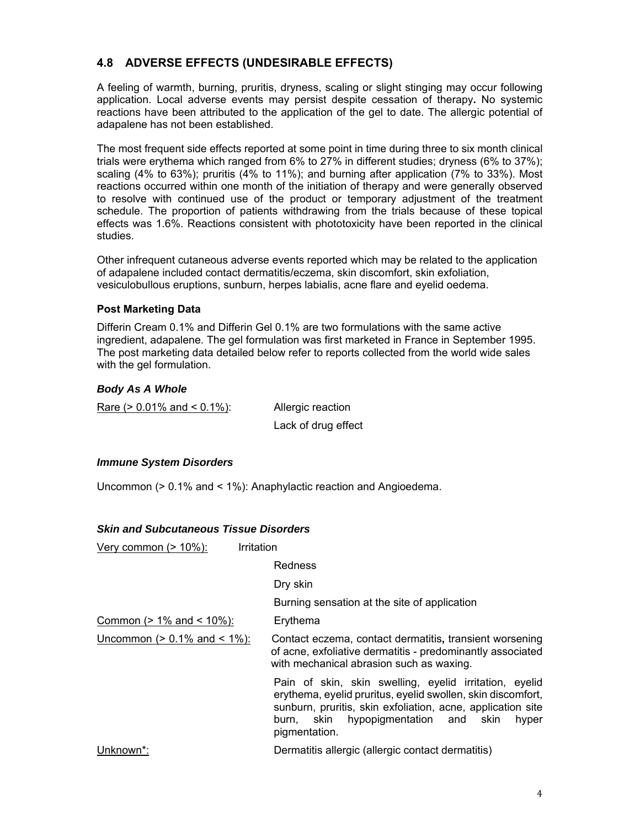## **4.8 ADVERSE EFFECTS (UNDESIRABLE EFFECTS)**

A feeling of warmth, burning, pruritis, dryness, scaling or slight stinging may occur following application. Local adverse events may persist despite cessation of therapy**.** No systemic reactions have been attributed to the application of the gel to date. The allergic potential of adapalene has not been established.

The most frequent side effects reported at some point in time during three to six month clinical trials were erythema which ranged from 6% to 27% in different studies; dryness (6% to 37%); scaling (4% to 63%); pruritis (4% to 11%); and burning after application (7% to 33%). Most reactions occurred within one month of the initiation of therapy and were generally observed to resolve with continued use of the product or temporary adjustment of the treatment schedule. The proportion of patients withdrawing from the trials because of these topical effects was 1.6%. Reactions consistent with phototoxicity have been reported in the clinical studies.

Other infrequent cutaneous adverse events reported which may be related to the application of adapalene included contact dermatitis/eczema, skin discomfort, skin exfoliation, vesiculobullous eruptions, sunburn, herpes labialis, acne flare and eyelid oedema.

#### **Post Marketing Data**

Differin Cream 0.1% and Differin Gel 0.1% are two formulations with the same active ingredient, adapalene. The gel formulation was first marketed in France in September 1995. The post marketing data detailed below refer to reports collected from the world wide sales with the gel formulation.

#### *Body As A Whole*

Rare  $(> 0.01\%$  and  $< 0.1\%$ : Allergic reaction

Lack of drug effect

#### *Immune System Disorders*

Uncommon (> 0.1% and < 1%): Anaphylactic reaction and Angioedema.

#### *Skin and Subcutaneous Tissue Disorders*

| <u>Very common (&gt; 10%):</u>        | Irritation                                                                                                                                                                                                                                                      |
|---------------------------------------|-----------------------------------------------------------------------------------------------------------------------------------------------------------------------------------------------------------------------------------------------------------------|
|                                       | <b>Redness</b>                                                                                                                                                                                                                                                  |
|                                       | Dry skin                                                                                                                                                                                                                                                        |
|                                       | Burning sensation at the site of application                                                                                                                                                                                                                    |
| <u>Common (&gt; 1% and &lt; 10%):</u> | Erythema                                                                                                                                                                                                                                                        |
| Uncommon ( $> 0.1\%$ and $< 1\%$ ):   | Contact eczema, contact dermatitis, transient worsening<br>of acne, exfoliative dermatitis - predominantly associated<br>with mechanical abrasion such as waxing.                                                                                               |
|                                       | Pain of skin, skin swelling, eyelid irritation, eyelid<br>erythema, eyelid pruritus, eyelid swollen, skin discomfort,<br>sunburn, pruritis, skin exfoliation, acne, application site<br>hypopigmentation and<br>skin<br>skin<br>hyper<br>burn.<br>pigmentation. |
| Unknown*:                             | Dermatitis allergic (allergic contact dermatitis)                                                                                                                                                                                                               |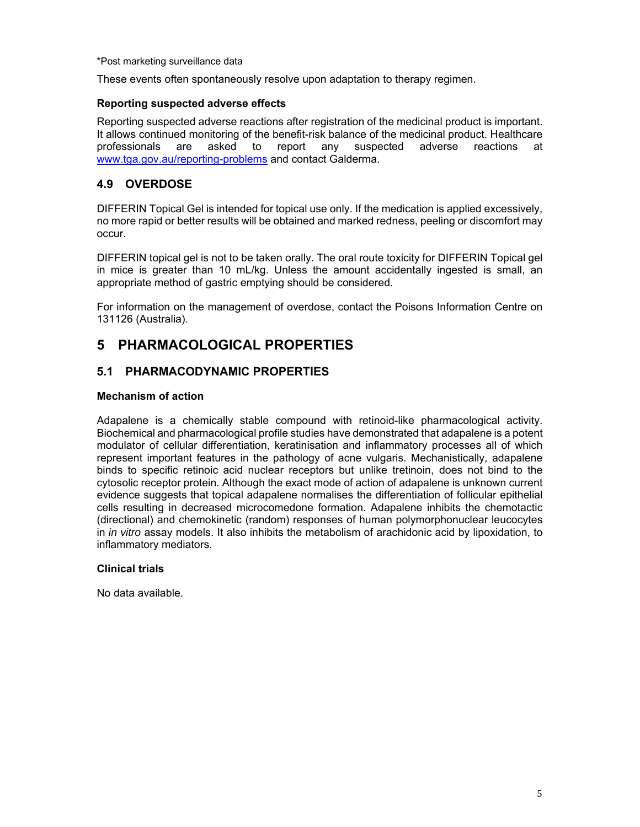\*Post marketing surveillance data

These events often spontaneously resolve upon adaptation to therapy regimen.

#### **Reporting suspected adverse effects**

Reporting suspected adverse reactions after registration of the medicinal product is important. It allows continued monitoring of the benefit-risk balance of the medicinal product. Healthcare professionals are asked to report any suspected adverse reactions at www.tga.gov.au/reporting-problems and contact Galderma.

## **4.9 OVERDOSE**

DIFFERIN Topical Gel is intended for topical use only. If the medication is applied excessively, no more rapid or better results will be obtained and marked redness, peeling or discomfort may occur.

DIFFERIN topical gel is not to be taken orally. The oral route toxicity for DIFFERIN Topical gel in mice is greater than 10 mL/kg. Unless the amount accidentally ingested is small, an appropriate method of gastric emptying should be considered.

For information on the management of overdose, contact the Poisons Information Centre on 131126 (Australia).

# **5 PHARMACOLOGICAL PROPERTIES**

## **5.1 PHARMACODYNAMIC PROPERTIES**

#### **Mechanism of action**

Adapalene is a chemically stable compound with retinoid-like pharmacological activity. Biochemical and pharmacological profile studies have demonstrated that adapalene is a potent modulator of cellular differentiation, keratinisation and inflammatory processes all of which represent important features in the pathology of acne vulgaris. Mechanistically, adapalene binds to specific retinoic acid nuclear receptors but unlike tretinoin, does not bind to the cytosolic receptor protein. Although the exact mode of action of adapalene is unknown current evidence suggests that topical adapalene normalises the differentiation of follicular epithelial cells resulting in decreased microcomedone formation. Adapalene inhibits the chemotactic (directional) and chemokinetic (random) responses of human polymorphonuclear leucocytes in *in vitro* assay models. It also inhibits the metabolism of arachidonic acid by lipoxidation, to inflammatory mediators.

#### **Clinical trials**

No data available.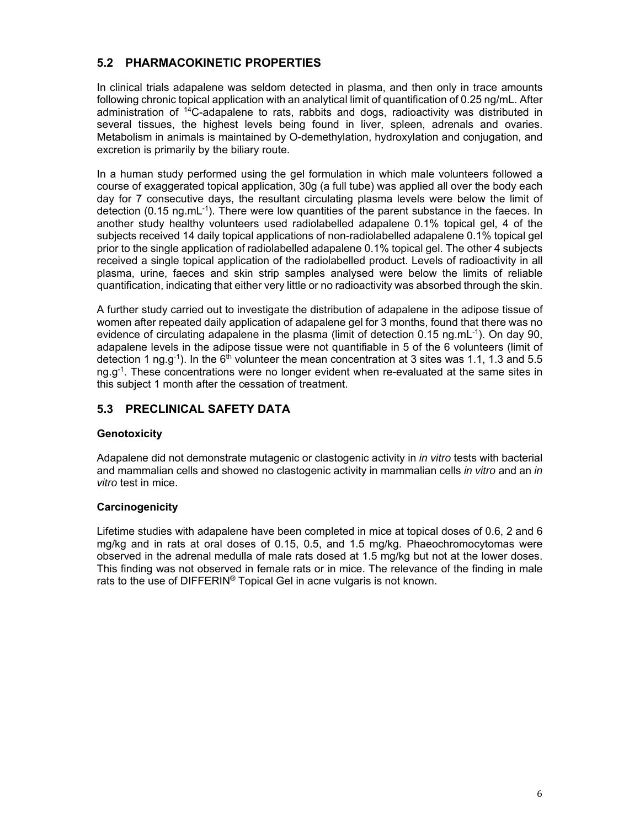## **5.2 PHARMACOKINETIC PROPERTIES**

In clinical trials adapalene was seldom detected in plasma, and then only in trace amounts following chronic topical application with an analytical limit of quantification of 0.25 ng/mL. After administration of 14C-adapalene to rats, rabbits and dogs, radioactivity was distributed in several tissues, the highest levels being found in liver, spleen, adrenals and ovaries. Metabolism in animals is maintained by O-demethylation, hydroxylation and conjugation, and excretion is primarily by the biliary route.

In a human study performed using the gel formulation in which male volunteers followed a course of exaggerated topical application, 30g (a full tube) was applied all over the body each day for 7 consecutive days, the resultant circulating plasma levels were below the limit of detection (0.15 ng.mL<sup>-1</sup>). There were low quantities of the parent substance in the faeces. In another study healthy volunteers used radiolabelled adapalene 0.1% topical gel, 4 of the subjects received 14 daily topical applications of non-radiolabelled adapalene 0.1% topical gel prior to the single application of radiolabelled adapalene 0.1% topical gel. The other 4 subjects received a single topical application of the radiolabelled product. Levels of radioactivity in all plasma, urine, faeces and skin strip samples analysed were below the limits of reliable quantification, indicating that either very little or no radioactivity was absorbed through the skin.

A further study carried out to investigate the distribution of adapalene in the adipose tissue of women after repeated daily application of adapalene gel for 3 months, found that there was no evidence of circulating adapalene in the plasma (limit of detection 0.15 ng.mL $^{-1}$ ). On day 90, adapalene levels in the adipose tissue were not quantifiable in 5 of the 6 volunteers (limit of detection 1 ng.g<sup>-1</sup>). In the 6<sup>th</sup> volunteer the mean concentration at 3 sites was 1.1, 1.3 and 5.5 ng.g<sup>-1</sup>. These concentrations were no longer evident when re-evaluated at the same sites in this subject 1 month after the cessation of treatment.

## **5.3 PRECLINICAL SAFETY DATA**

## **Genotoxicity**

Adapalene did not demonstrate mutagenic or clastogenic activity in *in vitro* tests with bacterial and mammalian cells and showed no clastogenic activity in mammalian cells *in vitro* and an *in vitro* test in mice.

## **Carcinogenicity**

Lifetime studies with adapalene have been completed in mice at topical doses of 0.6, 2 and 6 mg/kg and in rats at oral doses of 0.15, 0.5, and 1.5 mg/kg. Phaeochromocytomas were observed in the adrenal medulla of male rats dosed at 1.5 mg/kg but not at the lower doses. This finding was not observed in female rats or in mice. The relevance of the finding in male rats to the use of DIFFERIN**®** Topical Gel in acne vulgaris is not known.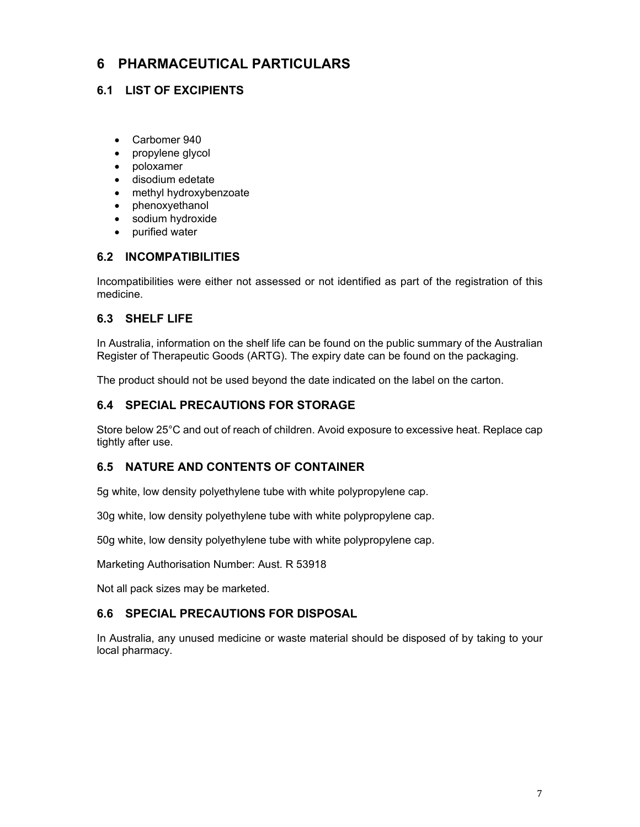# **6 PHARMACEUTICAL PARTICULARS**

## **6.1 LIST OF EXCIPIENTS**

- Carbomer 940
- propylene glycol
- poloxamer
- disodium edetate
- methyl hydroxybenzoate
- phenoxyethanol
- sodium hydroxide
- purified water

## **6.2 INCOMPATIBILITIES**

Incompatibilities were either not assessed or not identified as part of the registration of this medicine.

## **6.3 SHELF LIFE**

In Australia, information on the shelf life can be found on the public summary of the Australian Register of Therapeutic Goods (ARTG). The expiry date can be found on the packaging.

The product should not be used beyond the date indicated on the label on the carton.

## **6.4 SPECIAL PRECAUTIONS FOR STORAGE**

Store below 25°C and out of reach of children. Avoid exposure to excessive heat. Replace cap tightly after use.

## **6.5 NATURE AND CONTENTS OF CONTAINER**

5g white, low density polyethylene tube with white polypropylene cap.

30g white, low density polyethylene tube with white polypropylene cap.

50g white, low density polyethylene tube with white polypropylene cap.

Marketing Authorisation Number: Aust. R 53918

Not all pack sizes may be marketed.

## **6.6 SPECIAL PRECAUTIONS FOR DISPOSAL**

In Australia, any unused medicine or waste material should be disposed of by taking to your local pharmacy.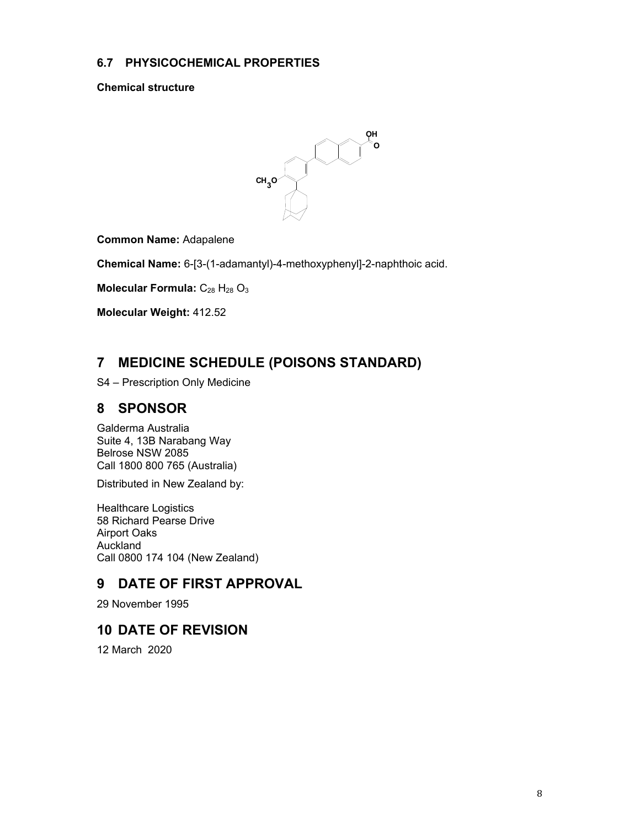## **6.7 PHYSICOCHEMICAL PROPERTIES**

**Chemical structure** 



**Common Name:** Adapalene

**Chemical Name:** 6-[3-(1-adamantyl)-4-methoxyphenyl]-2-naphthoic acid.

**Molecular Formula:** C<sub>28</sub> H<sub>28</sub> O<sub>3</sub>

**Molecular Weight:** 412.52

# **7 MEDICINE SCHEDULE (POISONS STANDARD)**

S4 – Prescription Only Medicine

## **8 SPONSOR**

Galderma Australia Suite 4, 13B Narabang Way Belrose NSW 2085 Call 1800 800 765 (Australia)

Distributed in New Zealand by:

Healthcare Logistics 58 Richard Pearse Drive Airport Oaks Auckland Call 0800 174 104 (New Zealand)

# **9 DATE OF FIRST APPROVAL**

29 November 1995

# **10 DATE OF REVISION**

12 March 2020